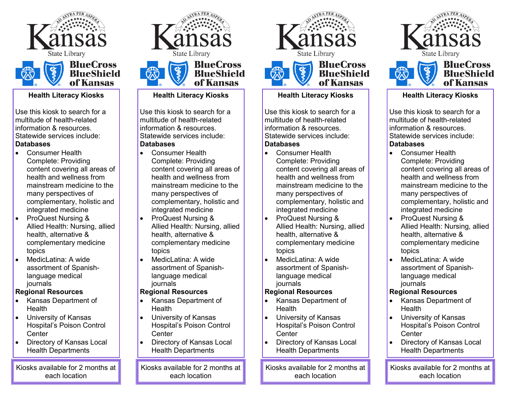



#### **Health Literacy Kiosks**

Use this kiosk to search for a multitude of health-related information & resources. Statewide services include: **Databases**

- Consumer Health Complete: Providing content covering all areas of health and wellness from mainstream medicine to the many perspectives of complementary, holistic and integrated medicine
- ProQuest Nursing & Allied Health: Nursing, allied health, alternative & complementary medicine topics
- MedicLatina: A wide assortment of Spanishlanguage medical journals

## **Regional Resources**

- Kansas Department of Health
- University of Kansas Hospital's Poison Control **Center**
- Directory of Kansas Local Health Departments

Kiosks available for 2 months at each location



**BlueShield** of Kansas

#### **Health Literacy Kiosks**

Use this kiosk to search for a multitude of health-related information & resources. Statewide services include: **Databases**

- Consumer Health Complete: Providing content covering all areas of health and wellness from mainstream medicine to the many perspectives of complementary, holistic and integrated medicine
- ProQuest Nursing & Allied Health: Nursing, allied health, alternative & complementary medicine topics
- MedicLatina: A wide assortment of Spanishlanguage medical journals

## **Regional Resources**

- Kansas Department of **Health**
- University of Kansas Hospital's Poison Control **Center**
- Directory of Kansas Local Health Departments

Kiosks available for 2 months at each location





#### **Health Literacy Kiosks**

Use this kiosk to search for a multitude of health-related information & resources. Statewide services include: **Databases**

- Consumer Health Complete: Providing content covering all areas of health and wellness from mainstream medicine to the many perspectives of complementary, holistic and integrated medicine
- ProQuest Nursing & Allied Health: Nursing, allied health, alternative & complementary medicine topics
- MedicLatina: A wide assortment of Spanishlanguage medical journals

## **Regional Resources**

- Kansas Department of Health
- University of Kansas Hospital's Poison Control **Center**
- Directory of Kansas Local Health Departments

Kiosks available for 2 months at each location





#### **Health Literacy Kiosks**

Use this kiosk to search for a multitude of health-related information & resources. Statewide services include: **Databases**

- Consumer Health Complete: Providing content covering all areas of health and wellness from mainstream medicine to the many perspectives of complementary, holistic and integrated medicine
- ProQuest Nursing & Allied Health: Nursing, allied health, alternative & complementary medicine topics
- MedicLatina: A wide assortment of Spanishlanguage medical journals

# **Regional Resources**

- Kansas Department of Health
- University of Kansas Hospital's Poison Control **Center**
- Directory of Kansas Local Health Departments

Kiosks available for 2 months at each location